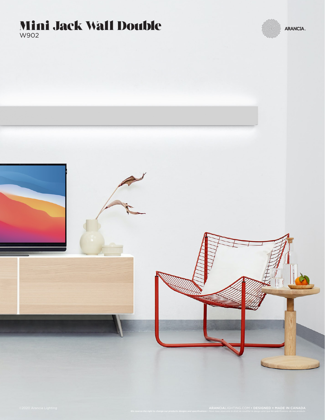



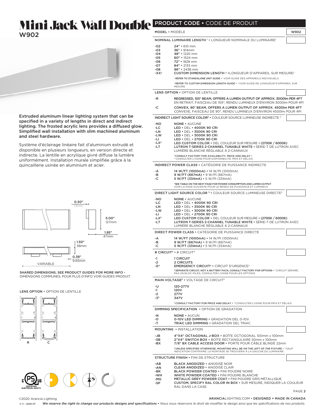# Mini Jack Wall Double **PRODUCT CODE • CODE DE PRODUIT**



Extruded aluminum linear lighting system that can be specified in a variety of lengths in direct and indirect lighting. The frosted acrylic lens provides a diffused glow Simplified wall installation with slim machined aluminum and steel hardware.

Système d'éclairage linéaire fait d'aluminium extrudé et disponible en plusieurs longueurs, en version directe et indirecte. La lentille en acrylique givré diffuse la lumière uniformément. Installation murale simplifiée grâce à la quincaillerie usinée en aluminium et acier.



SHARED DIMENSIONS, SEE PRODUCT GUIDES FOR MORE INFO  $\cdot$ DIMENSIONS COMMUNES, POUR PLUS D'INFO VOIR GUIDES PRODUIT.

#### LENS OPTION • OPTION DE LENTILLE





| MODEL · MODEL F                                                |                                                                                                                                                                                                                                                                                                                                                                                                                                                                                  | W902 |  |  |  |  |
|----------------------------------------------------------------|----------------------------------------------------------------------------------------------------------------------------------------------------------------------------------------------------------------------------------------------------------------------------------------------------------------------------------------------------------------------------------------------------------------------------------------------------------------------------------|------|--|--|--|--|
|                                                                | NOMINAL LUMINAIRE LENGTH 1 . LONGUEUR NOMINALE DU LUMINAIRE1                                                                                                                                                                                                                                                                                                                                                                                                                     |      |  |  |  |  |
| $-02$<br>$-03$<br>-04<br>$-05$<br>-06<br>-07<br>-08<br>$-XX^2$ | 24" • 610 mm<br>36" • 914mm<br>48" • 1220 mm<br>$60"$ • 1524 mm<br>72" • 1828 mm<br>84" · 2133 mm<br>96" • 2438 mm<br><b>CUSTOM DIMENSION LENGTH <sup>2</sup> .</b> LONGUEUR D'APPAREIL SUR MESURE <sup>2</sup><br>'REFER TO STANDALONE UNIT GUIDE . 'VOIR GUIDE DES APPAREILS INDIVIDUELS<br><sup>2</sup> REFER TO CUSTOM DIMENSION LENGTH GUIDE . <sup>2</sup> VOIR GUIDE DE LONGUEUR D'APPAREIL SUR<br>MESURE                                                                 |      |  |  |  |  |
|                                                                | <b>LENS OPTION • OPTION DE LENTILLE</b>                                                                                                                                                                                                                                                                                                                                                                                                                                          |      |  |  |  |  |
| -R                                                             | REGRESSED, 105° BEAM, OFFERS A LUMEN OUTPUT OF APPROX. 3000Im PER 4FT<br>EN RETRAIT, FAISCEAU DE 105°, RENDU LUMINEUX D'ENVIRON 3000lm POUR 4PI                                                                                                                                                                                                                                                                                                                                  |      |  |  |  |  |
| -C                                                             | CONVEX, 90° BEAM, OFFERS A LUMEN OUTPUT OF APPROX. 4500Im PER 4FT<br>CONVEXE, FAISCEAU DE 90°, RENDU LUMINEUX D'ENVIRON 4500Im POUR 4PI                                                                                                                                                                                                                                                                                                                                          |      |  |  |  |  |
|                                                                | <b>INDIRECT LIGHT SOURCE COLOR<sup>3</sup> • COULEUR SOURCE LUMINEUSE INDIRECTE 3</b>                                                                                                                                                                                                                                                                                                                                                                                            |      |  |  |  |  |
| -NO<br>-LC<br>$-LN$<br>-LW<br>-LI<br>$-LX^3$<br>-LT            | <b>NONE • AUCUNE</b><br>LED • DEL • 4000K 90 CRI<br>$LED \cdot$ DEL $\cdot$ 3500K 90 CRI<br>LED • DEL • 3000K 90 CRI<br>$LED \cdot$ DEL $\cdot$ 2700K 90 CRI<br>LED CUSTOM COLOR • DEL COULEUR SUR MESURE • (2700K / 6000K)<br>LUTRON T-SERIES 2-CHANNEL TUNABLE WHITE • SÉRIE-T DE LUTRON AVEC<br>LUMIÈRE BLANCHE RÉGLABLE À 2-CANNAUX<br><sup>3</sup> CONSULT FACTORY FOR AVAILABILITY, PRICE AND DELAY .<br><sup>3</sup> CONSULTER L'USINE POUR DISPONIBILITÉ, PRIX ET DÉLAIS |      |  |  |  |  |
|                                                                | <b>INDIRECT POWER CLASS • CATÉGORIE DE PUISSANCE INDIRECTE</b>                                                                                                                                                                                                                                                                                                                                                                                                                   |      |  |  |  |  |
| -A<br>-в<br>-C                                                 | 14 W/FT (1000mA) • 14 W/PI (1000mA)<br>$9 W/FT (667mA) \cdot 9 W/PI (667mA)$<br>$5 W/FT (334mA) \cdot 5 W/PI (334mA)$                                                                                                                                                                                                                                                                                                                                                            |      |  |  |  |  |
|                                                                | *SEE TABLE ON THE NEXT PAGE FOR POWER CONSUMPTION AND LUMEN OUTPUT<br>VOIR LA PAGE SUIVANTE POUR LE RENDU DE PUISSANCE ET LUMINEUX                                                                                                                                                                                                                                                                                                                                               |      |  |  |  |  |
|                                                                | DIRECT LIGHT SOURCE COLOR <sup>3</sup> · COULEUR SOURCE LUMINEUSE DIRECTE <sup>3</sup>                                                                                                                                                                                                                                                                                                                                                                                           |      |  |  |  |  |
| -NO<br>-LC<br>-LN<br>-LW<br>-LI<br>$-LX^3$<br>-LT              | <b>NONE • AUCUNE</b><br>$LED \cdot$ DEL $\cdot$ 4000K 90 CRI<br>LED . DEL . 3500K 90 CRI<br>LED • DEL • 3000K 90 CRI<br>LED • DEL • 2700K 90 CRI<br>LED CUSTOM COLOR • DEL COULEUR SUR MESURE • (2700K / 6000K)<br>LUTRON T-SERIES 2-CHANNEL TUNABLE WHITE . SERIE-T DE LUTRON AVEC<br>LUMIÈRE BLANCHE RÉGLABLE À 2-CANNAUX                                                                                                                                                      |      |  |  |  |  |
|                                                                | <b>DIRECT POWER CLASS • CATÉGORIE DE PUISSANCE DIRECTE</b>                                                                                                                                                                                                                                                                                                                                                                                                                       |      |  |  |  |  |
| -A<br>-в<br>-C                                                 | 14 W/FT (1000mA) · 14 W/PI (1000mA)<br>$9 W/FT (667mA) \cdot 9 W/PI (667mA)$<br>$5 W/FT (334mA) \cdot 5 W/PI (334mA)$                                                                                                                                                                                                                                                                                                                                                            |      |  |  |  |  |
|                                                                | # CIRCUIT <sup>4</sup> $\cdot$ # CIRCUIT <sup>4</sup>                                                                                                                                                                                                                                                                                                                                                                                                                            |      |  |  |  |  |
| -1<br>-2<br>$-E4$                                              | 1 CIRCUIT<br><b>2 CIRCUITS</b><br><b>EMERGENCY CIRCUIT<sup>4</sup> · CIRCUIT D'URGENCE<sup>4</sup></b><br>4 SEPARATE CIRCUIT, NOT A BATTERY PACK; CONSULT FACTORY FOR OPTIONS • 4 CIRCUIT SÉPARÉ,<br>PAS UN BLOC-PILES; CONSULTER L'USINE POUR LES OPTIONS                                                                                                                                                                                                                       |      |  |  |  |  |
|                                                                | MAIN VOLTAGE <sup>5</sup> . VOLTAGE DE CIRCUIT <sup>5</sup>                                                                                                                                                                                                                                                                                                                                                                                                                      |      |  |  |  |  |
| - U<br>$-1$<br>-2<br>$-35$                                     | 120-277V<br>120V<br>277V<br>347V<br><sup>5</sup> CONSULT FACTORY FOR PRICE AND DELAY • <sup>5</sup> CONSULTER L'USINE POUR PRIX ET DÉLAIS                                                                                                                                                                                                                                                                                                                                        |      |  |  |  |  |
|                                                                | <b>DIMMING SPECIFICATION • OPTION DE GRADATION</b>                                                                                                                                                                                                                                                                                                                                                                                                                               |      |  |  |  |  |
| -N<br>-0<br>$-T$                                               | <b>NONE • AUCUN</b><br><b>0-10V LED DIMMING • GRADATION DEL 0-10V</b><br><b>TRIAC LED DIMMING • GRADATION DEL TRIAC</b>                                                                                                                                                                                                                                                                                                                                                          |      |  |  |  |  |
|                                                                | <b>MOUNTING • INSTALLATION</b>                                                                                                                                                                                                                                                                                                                                                                                                                                                   |      |  |  |  |  |
| -JB<br>-SB<br>-BX                                              | 4"X4" OCTAGONAL J-BOX • BOÎTE OCTOGONAL 100mm x 100mm<br>2"X4" SWITCH BOX . BOÎTE RECTANGULAIRE 50mm x 100mm<br>7/8" BX CABLE ACCESS DOOR • PORTE POUR CABLE BLINDE 22mm                                                                                                                                                                                                                                                                                                         |      |  |  |  |  |
|                                                                | <sup>6</sup> UNLESS SPECIFIED OTHERWISE, MOUNTING WILL BE ON THE LEFT OF THE FIXTURE . 6SAUF<br>INDICATION CONTRAIRE, LE MONTAGE SE TROUVERA À LA GAUCHE DU LUMINAIRE                                                                                                                                                                                                                                                                                                            |      |  |  |  |  |
|                                                                | <b>STRUCTURE FINISH • FINI DE STRUCTURE</b>                                                                                                                                                                                                                                                                                                                                                                                                                                      |      |  |  |  |  |
| $-AB$<br>-AN<br>-BK<br>-WH<br>-MG                              | <b>BLACK ANODIZED • ANODISÉ NOIR</b><br><b>CLEAR ANODIZED • ANODISÉ CLAIR</b><br><b>BLACK POWDER COATED • FINI POUDRE NOIRE</b><br>WHITE POWDER COATED . FINI POUDRE BLANCHE<br>METALLIC GREY POWDER COAT . FINI POUDRE GRIS MÉTALLIQUE                                                                                                                                                                                                                                          |      |  |  |  |  |

-SP CUSTOM, SPECIFY RAL COLOR IN BOX • SUR MESURE, INDIQUER LA COULEUR RAL DANS LA CASE

PAGE 2

©2020 Arancia Lighting

ARANCIALIGHTING.COM • DESIGNED + MADE IN CANADA

*We reserve the right to change our products designs and specifications • Nous nous réservons le droit de modifier le design ainsi que les spécifications de nos produits. V 1.1 - 2020-07*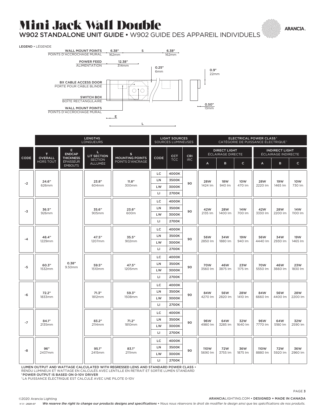### T L Mini Jack Wall Double

W902 STANDALONE UNIT GUIDE • W902 GUIDE DES APPAREIL INDIVIDUELS

**ARANCIA** 



|      | <b>LENGTHS</b><br>LONGUEURS       |                                                                        |                                                             | <b>LIGHT SOURCES</b><br>SOURCES LUMINEUSES      |              | <b>ELECTRICAL POWER CLASS1</b><br>CATÉGORIE DE PUISSANCE ÉLECTRIQUE <sup>1</sup> |                                          |                       |                                              |                       |                       |                       |                       |
|------|-----------------------------------|------------------------------------------------------------------------|-------------------------------------------------------------|-------------------------------------------------|--------------|----------------------------------------------------------------------------------|------------------------------------------|-----------------------|----------------------------------------------|-----------------------|-----------------------|-----------------------|-----------------------|
| CODE | T.<br><b>OVERALL</b><br>HORS TOUT | E.<br><b>ENDCAP</b><br><b>THICKNESS</b><br>ÉPAISSEUR<br><b>EMBOUTS</b> | L<br><b>LIT SECTION</b><br><b>SECTION</b><br><b>ALLUMÉE</b> | s<br><b>MOUNTING POINTS</b><br>POINTS D'ANCRAGE | CODE         | <b>CCT</b><br><b>CRI</b><br><b>TCC</b><br>IRC                                    | <b>DIRECT LIGHT</b><br>ÉCLAIRAGE DIRECTE |                       | <b>INDIRECT LIGHT</b><br>ÉCLAIRAGE INDIRECTE |                       |                       |                       |                       |
|      |                                   |                                                                        |                                                             |                                                 |              |                                                                                  |                                          | A                     | B                                            | $\mathsf{C}$          | A                     | B                     | $\mathsf{C}$          |
| $-2$ | 24.6"<br>626mm                    |                                                                        | 23.8"<br>604mm                                              | 11.8"<br>300mm                                  | LC           | 4000K                                                                            | 90                                       | 28W<br>1424 lm        | <b>18W</b><br>940 lm                         | 10W<br>470 lm         | <b>28W</b><br>2220 lm | 19W<br>1465 lm        | 10W<br>730 lm         |
|      |                                   |                                                                        |                                                             |                                                 | LN           | 3500K                                                                            |                                          |                       |                                              |                       |                       |                       |                       |
|      |                                   |                                                                        |                                                             |                                                 | LW           | 3000K                                                                            |                                          |                       |                                              |                       |                       |                       |                       |
|      |                                   |                                                                        |                                                             |                                                 | $\mathsf{L}$ | 2700K                                                                            |                                          |                       |                                              |                       |                       |                       |                       |
|      |                                   | 0.38"<br>9.50mm                                                        | 35.6"<br>905mm                                              | 23.6"<br>600m                                   | LC           | 4000K                                                                            | 90                                       | 42W<br>2135 lm        | 28W<br>1400 lm                               | 14W<br>700 lm         | 42W<br>3330 lm        | <b>28W</b><br>2200 lm | 14W<br>1100 lm        |
| -3   | 36.5"<br>926mm                    |                                                                        |                                                             |                                                 | LN           | 3500K                                                                            |                                          |                       |                                              |                       |                       |                       |                       |
|      |                                   |                                                                        |                                                             |                                                 | LW           | 3000K                                                                            |                                          |                       |                                              |                       |                       |                       |                       |
|      |                                   |                                                                        |                                                             |                                                 | LI           | 2700K                                                                            |                                          |                       |                                              |                       |                       |                       |                       |
| $-4$ | 48.4"<br>1229mm                   |                                                                        | 47.5"<br>1207mm                                             | 35.5"<br>902mm                                  | LC           | 4000K                                                                            | 90                                       | 56W<br>2850 lm        | 34W<br>1880 lm                               | 19W<br>940 lm         | 56W<br>4440 lm        | 34W<br>2930 lm        | 19W<br>1465 lm        |
|      |                                   |                                                                        |                                                             |                                                 | LN           | 3500K                                                                            |                                          |                       |                                              |                       |                       |                       |                       |
|      |                                   |                                                                        |                                                             |                                                 | LW           | 3000K                                                                            |                                          |                       |                                              |                       |                       |                       |                       |
|      |                                   |                                                                        |                                                             |                                                 | LI.          | 2700K                                                                            |                                          |                       |                                              |                       |                       |                       |                       |
|      | 60.3"<br>1532mm                   |                                                                        | 59.5"<br>1510mm                                             | 47.5"<br>1205mm                                 | LC           | 4000K                                                                            | 90                                       | <b>70W</b><br>3560 lm | 46W<br>3875 lm                               | 23W<br>1175 lm        | <b>70W</b><br>5550 lm | 46W<br>3660 lm        | 23W<br>1830 lm        |
| $-5$ |                                   |                                                                        |                                                             |                                                 | LN           | 3500K                                                                            |                                          |                       |                                              |                       |                       |                       |                       |
|      |                                   |                                                                        |                                                             |                                                 | LW           | 3000K                                                                            |                                          |                       |                                              |                       |                       |                       |                       |
|      |                                   |                                                                        |                                                             |                                                 | П            | 2700K                                                                            |                                          |                       |                                              |                       |                       |                       |                       |
|      | 72.2"<br>1833mm                   |                                                                        | 71.3"<br>1812mm                                             | 59.3"<br><b>1508mm</b>                          | LC           | 4000K                                                                            | 90                                       | 84W<br>4270 lm        | 56W<br>2820 lm                               | <b>28W</b><br>1410 lm | 84W<br>6660 lm        | 56W<br>4400 lm        | <b>28W</b><br>2200 lm |
|      |                                   |                                                                        |                                                             |                                                 | LN           | 3500K                                                                            |                                          |                       |                                              |                       |                       |                       |                       |
| $-6$ |                                   |                                                                        |                                                             |                                                 | LW           | 3000K                                                                            |                                          |                       |                                              |                       |                       |                       |                       |
|      |                                   |                                                                        |                                                             |                                                 | LI.          | 2700K                                                                            |                                          |                       |                                              |                       |                       |                       |                       |
| $-7$ | 84.1"<br>2135mm                   |                                                                        | 83.2"<br>2114mm                                             | 71.2"<br>1810mm                                 | LC           | 4000K                                                                            | 90                                       | 96W<br>4980 lm        | 64W<br>3285 lm                               | 32W<br>1640 lm        | 96W<br>7770 lm        | 64W<br>5180 lm        | 32W<br>2590 lm        |
|      |                                   |                                                                        |                                                             |                                                 | LN           | 3500K                                                                            |                                          |                       |                                              |                       |                       |                       |                       |
|      |                                   |                                                                        |                                                             |                                                 | LW           | 3000K                                                                            |                                          |                       |                                              |                       |                       |                       |                       |
|      |                                   |                                                                        |                                                             |                                                 | LI           | 2700K                                                                            |                                          |                       |                                              |                       |                       |                       |                       |
| -8   | 96"<br>2437mm                     |                                                                        | 95.1"<br>2415mm                                             | 83.1"<br>2111mm                                 | LC           | 4000K                                                                            | 90                                       | 110W<br>5690 lm       | 72W<br>3755 lm                               | 36W<br>1875 lm        | 110W<br>8880 lm       | 72W<br>5920 lm        | 36W<br>2960 lm        |
|      |                                   |                                                                        |                                                             |                                                 | LN           | 3500K                                                                            |                                          |                       |                                              |                       |                       |                       |                       |
|      |                                   |                                                                        |                                                             |                                                 | LW           | 3000K                                                                            |                                          |                       |                                              |                       |                       |                       |                       |
|      |                                   |                                                                        |                                                             |                                                 | LI           | 2700K                                                                            |                                          |                       |                                              |                       |                       |                       |                       |

LUMEN OUTPUT AND WATTAGE CALCULATED WITH REGRESSED LENS AND STANDARD POWER CLASS •

RENDU LUMINEUX ET WATTAGE EN CALCULÉS AVEC LENTILLE EN RETRAIT ET SORTIE LUMEN STANDARD

1 POWER OUTPUT IS BASED ON 0-10V DRIVER

1 LA PUISSANCE ÉLECTRIQUE EST CALCULÉ AVEC UNE PILOTE 0-10V

©2020 Arancia Lighting

ARANCIALIGHTING.COM • DESIGNED + MADE IN CANADA

PAGE 3

*We reserve the right to change our products designs and specifications • Nous nous réservons le droit de modifier le design ainsi que les spécifications de nos produits. V 1.1 - 2020-07*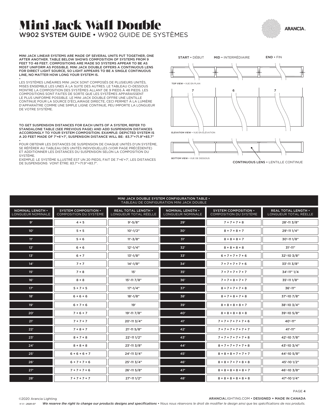### Mini Jack Wall Double W902 SYSTEM GUIDE • W902 GUIDE DE SYSTÈMES



MINI JACK LINEAR SYSTEMS ARE MADE OF SEVERAL UNITS PUT TOGETHER, ONE AFTER ANOTHER. TABLE BELOW SHOWS COMPOSITION OF SYSTEMS FROM 9 FEET TO 48 FEET. COMPOSITIONS ARE MADE SO SYSTEMS APPEAR TO BE AS MOST UNIFORM AS POSSIBLE. MINI JACK DOUBLE OFFERS A CONTINUOUS LENS FOR DIRECT LIGHT SOURCE, SO LIGHT APPEARS TO BE A SINGLE CONTINUOUS LINE, NO MATTER HOW LONG YOUR SYSTEM IS.

• LES SYSTÈMES LINÉAIRES MINI JACK SONT COMPOSÉS DE PLUSIEURS UNITÉS, MISES ENSEMBLE LES UNES À LA SUITE DES AUTRES. LE TABLEAU CI-DESSOUS MONTRE LA COMPOSITION DES SYSTÈMES ALLANT DE 9 PIEDS À 48 PIEDS. LES COMPOSITIONS SONT FAITES DE SORTE QUE LES SYSTÈMES APPARAISSENT LE PLUS UNIFORME POSSIBLE. LE MINI JACK DOUBLE OFFRE UNE LENTILLE CONTINUE POUR LA SOURCE D'ÉCLAIRAGE DIRECTE, CECI PERMET À LA LUMIÈRE D'APPARAÎTRE COMME UNE SIMPLE LIGNE CONTINUE, PEU IMPORTE LA LONGUEUR DE VOTRE SYSTÈME.

TO GET SUSPENSION DISTANCES FOR EACH UNITS OF A SYSTEM, REFER TO STANDALONE TABLE (SEE PREVIOUS PAGE) AND ADD SUSPENSION DISTANCES ACCORDINGLY TO YOUR SYSTEM COMPOSITION. EXAMPLE: DEPICTED SYSTEM IS A 20 FEET MADE OF 7'+6'+7', SUSPENSION DISTANCE WILL BE: 83.7"+71.9"+83.7" •

POUR OBTENIR LES DISTANCES DE SUSPENSION DE CHAQUE UNITÉS D'UN SYSTÈME, SE RÉFÉRER AU TABLEAU DES UNITÉS INDIVIDUELLES (VOIR PAGE PRÉCÉDENTE) ET ADDITIONNER LES DISTANCES DU SUSPENSION SELON LA COMPOSITION DU SYSTÈME.

EXEMPLE: LE SYSTÈME ILLUSTRÉ EST UN 20 PIEDS, FAIT DE 7'+6'+7', LES DISTANCES DE SUSPENSIONS VONT ÊTRE: 83.7"+71.9"+83.7".



CONTINUOUS LENS • LENTILLE CONTINUE

#### MINI JACK DOUBLE SYSTEM CONFIGURATION TABLE • TABLEAU DE CONFIGURATION MINI JACK DOUBLE

| NOMINAL LENGTH .<br>LONGUEUR NOMINALE | <b>SYSTEM COMPOSITION .</b><br>COMPOSITION DU SYSTÈME | REAL TOTAL LENGTH .<br>LONGUEUR TOTAL RÉELLE | NOMINAL LENGTH .<br>LONGUEUR NOMINALE | <b>SYSTEM COMPOSITION •</b><br>COMPOSITION DU SYSTÈME | REAL TOTAL LENGTH .<br>LONGUEUR TOTAL RÉELLE |  |  |  |  |  |
|---------------------------------------|-------------------------------------------------------|----------------------------------------------|---------------------------------------|-------------------------------------------------------|----------------------------------------------|--|--|--|--|--|
| 9'                                    | $4 + 5$                                               | $9' - 5/8"$                                  | 29'                                   | $7 + 7 + 7 + 8$                                       | 28'-11 3/8"                                  |  |  |  |  |  |
| 10 <sup>1</sup>                       | $5 + 5$                                               | $10'-1/2"$                                   | 30'                                   | $8 + 7 + 8 + 7$                                       | 29'-11 1/4"                                  |  |  |  |  |  |
| 11'                                   | $5+6$                                                 | $11'-3/8"$                                   | 31'                                   | $8 + 8 + 8 + 7$                                       | 30'-11 1/8"                                  |  |  |  |  |  |
| 12"                                   | $6 + 6$                                               | $12'-1/4"$                                   | 32'                                   | $8 + 8 + 8 + 8$                                       | $31' - 11''$                                 |  |  |  |  |  |
| 13'                                   | $6 + 7$                                               | $13'-1/8"$                                   | 33'                                   | $6 + 7 + 7 + 7 + 6$                                   | 32'-10 3/8"                                  |  |  |  |  |  |
| 14'                                   | $7 + 7$                                               | $14' - 1/8"$                                 | 34'                                   | $7 + 7 + 7 + 7 + 6$                                   | 33'-11 3/8"                                  |  |  |  |  |  |
| 15'                                   | $7 + 8$                                               | 15'                                          | 35'                                   | $7 + 7 + 7 + 7 + 7$                                   | 34'-11" 1/4                                  |  |  |  |  |  |
| 16'                                   | $8 + 8$                                               | 15'-11 7/8"                                  | 36'                                   | $7 + 7 + 8 + 7 + 7$                                   | 35'-11 1/8"                                  |  |  |  |  |  |
| 17'                                   | $5 + 7 + 5$                                           | $17' - 1/4"$                                 | 37'                                   | $8 + 7 + 7 + 7 + 8$                                   | 36'-11"                                      |  |  |  |  |  |
| 18'                                   | $6 + 6 + 6$                                           | $18' - 1/8"$                                 | 38'                                   | $8 + 7 + 8 + 7 + 8$                                   | 37'-10 7/8"                                  |  |  |  |  |  |
| 19'                                   | $6 + 7 + 6$                                           | 19'                                          | 39'                                   | $8 + 8 + 8 + 8 + 7$                                   | 38'-10 3/4"                                  |  |  |  |  |  |
| 20'                                   | $7 + 6 + 7$                                           | 19'-11 7/8"                                  | 40'                                   | $8 + 8 + 8 + 8 + 8$                                   | 39'-10 5/8"                                  |  |  |  |  |  |
| 21'                                   | $7 + 7 + 7$                                           | 20'-11 3/4"                                  | 41'                                   | $7 + 7 + 7 + 7 + 7 + 6$                               | 40'-11"                                      |  |  |  |  |  |
| 22"                                   | $7 + 8 + 7$                                           | $21' - 115/8"$                               | 42"                                   | $7 + 7 + 7 + 7 + 7 + 7$                               | 41'-11"                                      |  |  |  |  |  |
| 23'                                   | $8 + 7 + 8$                                           | 22'-11 1/2"                                  | 43'                                   | $7 + 7 + 7 + 7 + 7 + 8$                               | 42'-10 7/8"                                  |  |  |  |  |  |
| 24'                                   | $8 + 8 + 8$                                           | 23'-11 3/8"                                  | 44'                                   | $8 + 7 + 7 + 7 + 7 + 8$                               | 43'-10 3/4"                                  |  |  |  |  |  |
| 25'                                   | $6 + 6 + 6 + 7$                                       | 24'-11 3/4"                                  | 45'                                   | $8 + 8 + 8 + 7 + 7 + 7$                               | 44'-10 5/8"                                  |  |  |  |  |  |
| 26'                                   | $6 + 7 + 7 + 6$                                       | 25'-11 3/4"                                  | 46'                                   | $8 + 8 + 7 + 7 + 8 + 8$                               | 45'-10 1/2"                                  |  |  |  |  |  |
| 27"                                   | $7 + 7 + 7 + 6$                                       | 26'-11 5/8"                                  | 47'                                   | $8 + 8 + 8 + 8 + 8 + 7$                               | 46'-10 3/8"                                  |  |  |  |  |  |
| 28'                                   | $7 + 7 + 7 + 7$                                       | 27'-11 1/2"                                  | 48'                                   | $8 + 8 + 8 + 8 + 8 + 8$                               | 47'-10 1/4"                                  |  |  |  |  |  |

ARANCIALIGHTING.COM • DESIGNED + MADE IN CANADA ©2020 Arancia Lighting

*We reserve the right to change our products designs and specifications • Nous nous réservons le droit de modifier le design ainsi que les spécifications de nos produits. V 1.1 - 2020-07*